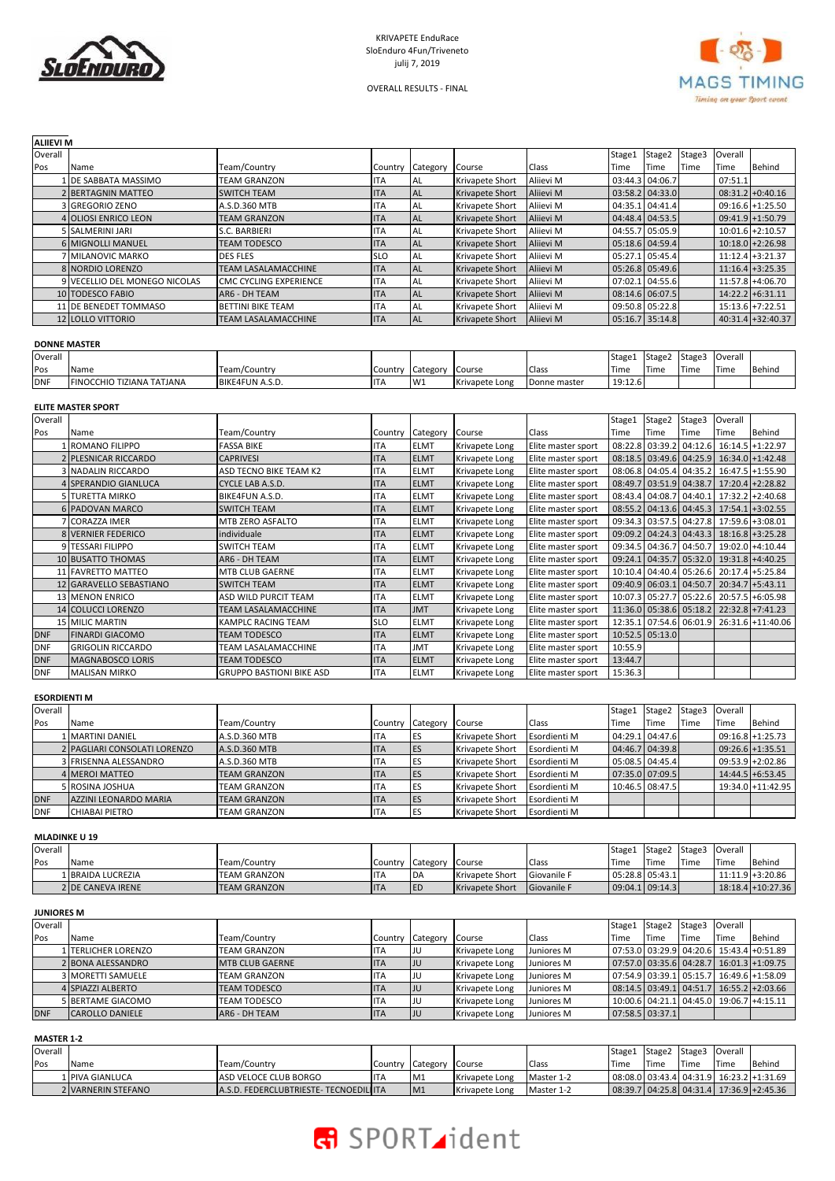



OVERALL RESULTS - FINAL

#### **ALIIEVI M**

| Overall |                               |                               |            |                  |                        |                  | Stage1          | Stage2          | Stage3 | Overall |                     |
|---------|-------------------------------|-------------------------------|------------|------------------|------------------------|------------------|-----------------|-----------------|--------|---------|---------------------|
| Pos     | Name                          | Team/Country                  |            | Country Category | Course                 | Class            | Time            | Time            | Time   | Time    | Behind              |
|         | 1 DE SABBATA MASSIMO          | <b>TEAM GRANZON</b>           | ITA        | I AL             | Krivapete Short        | Aliievi M        | 03:44.3 04:06.7 |                 |        | 07:51.1 |                     |
|         | 2 BERTAGNIN MATTEO            | <b>SWITCH TEAM</b>            | ITA        | <b>IAL</b>       | <b>Krivapete Short</b> | Alijevi M        |                 | 03:58.2 04:33.0 |        |         | $08:31.2+0:40.16$   |
|         | 3 GREGORIO ZENO               | A.S.D.360 MTB                 | ITA        | I AL             | Krivapete Short        | Alijevi M        |                 | 04:35.1 04:41.4 |        |         | $09:16.6$ +1:25.50  |
|         | 4 OLIOSI ENRICO LEON          | <b>TEAM GRANZON</b>           | <b>ITA</b> | <b>IAL</b>       | <b>Krivapete Short</b> | Alijevi M        |                 | 04:48.4 04:53.5 |        |         | $09:41.9$ +1:50.79  |
|         | 5 SALMERINI JARI              | S.C. BARBIERI                 | ITA        | 'AL              | Krivapete Short        | Aliievi M        |                 | 04:55.7 05:05.9 |        |         | $10:01.6$ +2:10.57  |
|         | <b>6 MIGNOLLI MANUEL</b>      | <b>TEAM TODESCO</b>           | <b>ITA</b> | <b>IAL</b>       | <b>Krivapete Short</b> | Alijevi M        |                 | 05:18.6 04:59.4 |        |         | $10:18.0 + 2:26.98$ |
|         | 7 MILANOVIC MARKO             | <b>DES FLES</b>               | <b>SLO</b> | 'AL              | Krivapete Short        | Alijevi M        |                 | 05:27.1 05:45.4 |        |         | $11:12.4$ +3:21.37  |
|         | 8 NORDIO LORENZO              | <b>TEAM LASALAMACCHINE</b>    | <b>ITA</b> | <b>IAL</b>       | <b>Krivapete Short</b> | Alijevi M        |                 | 05:26.8 05:49.6 |        |         | $11:16.4$ +3:25.35  |
|         | 9 VECELLIO DEL MONEGO NICOLAS | <b>CMC CYCLING EXPERIENCE</b> | ITA        | 'AL              | Krivapete Short        | Aliievi M        |                 | 07:02.1 04:55.6 |        |         | 11:57.8 +4:06.70    |
|         | 10 TODESCO FABIO              | AR6 - DH TEAM                 | <b>ITA</b> | <b>IAL</b>       | <b>Krivapete Short</b> | Alijevi M        |                 | 08:14.6 06:07.5 |        |         | $14:22.2$ +6:31.11  |
|         | 11 DE BENEDET TOMMASO         | <b>BETTINI BIKE TEAM</b>      | ITA        | <b>AL</b>        | Krivapete Short        | Alijevi M        |                 | 09:50.8 05:22.8 |        |         | $15:13.6$ +7:22.51  |
|         | <b>12 LOLLO VITTORIO</b>      | <b>TEAM LASALAMACCHINE</b>    | <b>ITA</b> | <b>IAL</b>       | <b>Krivapete Short</b> | <b>Alijevi M</b> |                 | 05:16.7 35:14.8 |        |         | $40:31.4$ +32:40.37 |

# **DONNE MASTER**

| Overall    |                                                |                 |         |          |                |              | Stage1  | Stage2 | Stage? | Overall     |        |
|------------|------------------------------------------------|-----------------|---------|----------|----------------|--------------|---------|--------|--------|-------------|--------|
| Pos        | Name                                           | Team/Country    | Country | Category | Course         | Class        | Time    | Time   | Time   | <b>Time</b> | Behind |
| <b>DNF</b> | <b>FIZIANA TATJANA</b><br><b>FINOCCHIO TIZ</b> | BIKE4FUN A.S.D. |         | W1       | Krivapete Long | Donne master | 19:12.6 |        |        |             |        |

# **ELITE MASTER SPORT**

| Overall    |                           |                                 |            |             |                |                    | Stage1          | Stage2                  | Stage3  | Overall |                                          |
|------------|---------------------------|---------------------------------|------------|-------------|----------------|--------------------|-----------------|-------------------------|---------|---------|------------------------------------------|
| Pos        | Name                      | Team/Country                    | Country    | Category    | Course         | Class              | Time            | Time                    | Time    | Time    | Behind                                   |
|            | <b>ROMANO FILIPPO</b>     | <b>FASSA BIKE</b>               | <b>ITA</b> | <b>ELMT</b> | Krivapete Long | Elite master sport |                 | 08:22.8 03:39.2 04:12.6 |         |         | $16:14.5$ +1:22.97                       |
|            | 2 PLESNICAR RICCARDO      | <b>CAPRIVESI</b>                | <b>ITA</b> | <b>ELMT</b> | Krivapete Long | Elite master sport |                 | 08:18.5 03:49.6 04:25.9 |         |         | $16:34.0 + 1:42.48$                      |
|            | 3 NADALIN RICCARDO        | ASD TECNO BIKE TEAM K2          | <b>ITA</b> | <b>ELMT</b> | Krivapete Long | Elite master sport |                 | 08:06.8 04:05.4 04:35.2 |         |         | $16:47.5$ +1:55.90                       |
|            | 4 SPERANDIO GIANLUCA      | CYCLE LAB A.S.D.                | <b>ITA</b> | <b>ELMT</b> | Krivapete Long | Elite master sport |                 | 08:49.7 03:51.9 04:38.7 |         |         | $17:20.4$ +2:28.82                       |
|            | <b>5 TURETTA MIRKO</b>    | BIKE4FUN A.S.D.                 | <b>ITA</b> | <b>ELMT</b> | Krivapete Long | Elite master sport |                 | 08:43.4 04:08.7 04:40.1 |         |         | $17:32.2$ +2:40.68                       |
|            | <b>6 PADOVAN MARCO</b>    | <b>SWITCH TEAM</b>              | <b>ITA</b> | <b>ELMT</b> | Krivapete Long | Elite master sport |                 | 08:55.2 04:13.6 04:45.3 |         |         | $17:54.1$ +3:02.55                       |
|            | 7 ICORAZZA IMER           | MTB ZERO ASFALTO                | <b>ITA</b> | <b>ELMT</b> | Krivapete Long | Elite master sport |                 | 09:34.3 03:57.5 04:27.8 |         |         | 17:59.6 +3:08.01                         |
|            | <b>8 VERNIER FEDERICO</b> | individuale                     | <b>ITA</b> | <b>ELMT</b> | Krivapete Long | Elite master sport |                 | 09:09.2 04:24.3 04:43.3 |         |         | $18:16.8$ +3:25.28                       |
|            | 9 TESSARI FILIPPO         | <b>SWITCH TEAM</b>              | <b>ITA</b> | <b>ELMT</b> | Krivapete Long | Elite master sport | 09:34.5 04:36.7 |                         | 04:50.7 |         | $19:02.0$ +4:10.44                       |
|            | <b>10 BUSATTO THOMAS</b>  | AR6 - DH TEAM                   | <b>ITA</b> | <b>ELMT</b> | Krivapete Long | Elite master sport |                 |                         |         |         | 09:24.1 04:35.7 05:32.0 19:31.8 +4:40.25 |
|            | 11 FAVRETTO MATTEO        | <b>MTB CLUB GAERNE</b>          | <b>ITA</b> | <b>ELMT</b> | Krivapete Long | Elite master sport |                 | 10:10.4 04:40.4 05:26.6 |         |         | 20:17.4 +5:25.84                         |
|            | 12 GARAVELLO SEBASTIANO   | <b>SWITCH TEAM</b>              | <b>ITA</b> | <b>ELMT</b> | Krivapete Long | Elite master sport |                 | 09:40.9 06:03.1 04:50.7 |         |         | 20:34.7 +5:43.11                         |
|            | <b>13 MENON ENRICO</b>    | ASD WILD PURCIT TEAM            | <b>ITA</b> | <b>ELMT</b> | Krivapete Long | Elite master sport |                 | 10:07.3 05:27.7 05:22.6 |         |         | $20:57.5$ +6:05.98                       |
|            | 14 COLUCCI LORENZO        | <b>TEAM LASALAMACCHINE</b>      | <b>ITA</b> | <b>JMT</b>  | Krivapete Long | Elite master sport |                 | 11:36.0 05:38.6 05:18.2 |         |         | $22:32.8$ +7:41.23                       |
|            | <b>15 MILIC MARTIN</b>    | KAMPLC RACING TEAM              | <b>SLO</b> | <b>ELMT</b> | Krivapete Long | Elite master sport |                 | 12:35.1 07:54.6 06:01.9 |         |         | 26:31.6 +11:40.06                        |
| <b>DNF</b> | <b>FINARDI GIACOMO</b>    | <b>TEAM TODESCO</b>             | <b>ITA</b> | <b>ELMT</b> | Krivapete Long | Elite master sport |                 | 10:52.5 05:13.0         |         |         |                                          |
| <b>DNF</b> | <b>GRIGOLIN RICCARDO</b>  | TEAM LASALAMACCHINE             | <b>ITA</b> | <b>JMT</b>  | Krivapete Long | Elite master sport | 10:55.9         |                         |         |         |                                          |
| <b>DNF</b> | <b>MAGNABOSCO LORIS</b>   | <b>TEAM TODESCO</b>             | <b>ITA</b> | <b>ELMT</b> | Krivapete Long | Elite master sport | 13:44.7         |                         |         |         |                                          |
| <b>DNF</b> | <b>MALISAN MIRKO</b>      | <b>GRUPPO BASTIONI BIKE ASD</b> | <b>ITA</b> | <b>ELMT</b> | Krivapete Long | Elite master sport | 15:36.3         |                         |         |         |                                          |

# **ESORDIENTI M**

| Overall     |                              |                     |            |                  |                        |              | Stage1 | Stage <sub>2</sub> | Stage3 | Overall            |                     |
|-------------|------------------------------|---------------------|------------|------------------|------------------------|--------------|--------|--------------------|--------|--------------------|---------------------|
| Pos         | Name                         | Team/Country        |            | Country Category | Course                 | Class        | Time   | Time               | Time   | Time               | Behind              |
|             | 1   MARTINI DANIEL           | A.S.D.360 MTB       | IIA        | <b>ES</b>        | Krivapete Short        | Esordienti M |        | 04:29.1 04:47.6    |        |                    | $09:16.8 + 1:25.73$ |
|             | 2 PAGLIARI CONSOLATI LORENZO | A.S.D.360 MTB       | <b>ITA</b> | <b>IES</b>       | <b>Krivapete Short</b> | Esordienti M |        | 04:46.7 04:39.8    |        | $09:26.6$ +1:35.51 |                     |
|             | 3 FRISENNA ALESSANDRO        | A.S.D.360 MTB       | ITA        | <b>IES</b>       | Krivapete Short        | Esordienti M |        | 05:08.5 04:45.4    |        |                    | $09:53.9 + 2:02.86$ |
|             | 4 MEROI MATTEO               | <b>TEAM GRANZON</b> | <b>ITA</b> | <b>IES</b>       | Krivapete Short        | Esordienti M |        | 07:35.0 07:09.5    |        |                    | $14:44.5$ +6:53.45  |
|             | 5 ROSINA JOSHUA              | TEAM GRANZON        | ITA        | <b>ES</b>        | Krivapete Short        | Esordienti M |        | 10:46.5 08:47.5    |        |                    | 19:34.0 + 11:42.95  |
| <b>DNF</b>  | AZZINI LEONARDO MARIA        | <b>TEAM GRANZON</b> | <b>ITA</b> | <b>IES</b>       | Krivapete Short        | Esordienti M |        |                    |        |                    |                     |
| <b>IDNF</b> | CHIABAI PIETRO               | TEAM GRANZON        | <b>ITA</b> | <b>IES</b>       | Krivapete Short        | Esordienti M |        |                    |        |                    |                     |

# **MLADINKE U 19**

| Overall |                   |                      |             |            |                        |                    | Stage1 | Stage2          | Stage3 | Overall |                     |
|---------|-------------------|----------------------|-------------|------------|------------------------|--------------------|--------|-----------------|--------|---------|---------------------|
| Pos     | Name              | Team/Country         | Country     | Category   | Course                 | Class              | Time   | Time            | Time   | Time    | Behind              |
|         | 1 BRAIDA LUCREZIA | <b>TEAM GRANZON</b>  | 'I I A      | <b>IDA</b> | <b>Krivapete Short</b> | Giovanile F        |        | 05:28.8 05:43.1 |        |         | $11:11.9 + 3:20.86$ |
|         | 2 DE CANEVA IRENE | <b>ITEAM GRANZON</b> | <b>IITA</b> | <b>IED</b> | <b>Krivapete Short</b> | <b>Giovanile F</b> |        | 09:04.109:14.3  |        |         | 18:18.4 + 10:27.36  |

# **JUNIORES M**

| Overall    |                             |                         |            |                  |                |            | Stage1 | Stage2 Stage3   |      | Overall |                                           |
|------------|-----------------------------|-------------------------|------------|------------------|----------------|------------|--------|-----------------|------|---------|-------------------------------------------|
| Pos        | Name                        | Team/Country            |            | Country Category | Course         | Class      | Time   | Time            | Time | Time    | Behind                                    |
|            | <b>1 ITERLICHER LORENZO</b> | <b>TEAM GRANZON</b>     | ITA        | IJU              | Krivapete Long | Juniores M |        |                 |      |         | 07:53.0 03:29.9 04:20.6 15:43.4 + 0:51.89 |
|            | 2 BONA ALESSANDRO           | <b>IMTB CLUB GAERNE</b> | <b>ITA</b> | JU               | Krivapete Long | Juniores M |        |                 |      |         | 07:57.0 03:35.6 04:28.7 16:01.3 + 1:09.75 |
|            | 3 MORETTI SAMUELE           | <b>TEAM GRANZON</b>     | ITA        | IJU              | Krivapete Long | Juniores M |        |                 |      |         | 07:54.9 03:39.1 05:15.7 16:49.6 + 1:58.09 |
|            | 4 SPIAZZI ALBERTO           | <b>TEAM TODESCO</b>     | <b>ITA</b> | JU               | Krivapete Long | Juniores M |        |                 |      |         | 08:14.5 03:49.1 04:51.7 16:55.2 + 2:03.66 |
|            | 5 BERTAME GIACOMO           | <b>TEAM TODESCO</b>     | <b>ITA</b> | IJU              | Krivapete Long | Juniores M |        |                 |      |         | 10:00.6 04:21.1 04:45.0 19:06.7 +4:15.11  |
| <b>DNF</b> | <b>CAROLLO DANIELE</b>      | AR6 - DH TEAM           | <b>ITA</b> | IJU              | Krivapete Long | Juniores M |        | 07:58.5 03:37.1 |      |         |                                           |

# **MASTER 1-2**

| Overall |                    |                                       |                  |                |            | Stage1 | Stage2 Stage3 |      | Overall |                                           |
|---------|--------------------|---------------------------------------|------------------|----------------|------------|--------|---------------|------|---------|-------------------------------------------|
| Pos     | Name               | Team/Country                          | Country Category | Course         | Class      | Time   | Time          | Time | Time    | Behind                                    |
|         | LIPIVA GIANLUCA    | <b>ASD VELOCE CLUB BORGO</b>          | IM1              | Krivapete Long | Master 1-2 |        |               |      |         | 08:08.0 03:43.4 04:31.9 16:23.2 + 1:31.69 |
|         | 2 VARNERIN STEFANO | A.S.D. FEDERCLUBTRIESTE-TECNOEDILIITA | M1               | Krivapete Long | Master 1-2 |        |               |      |         | 08:39.7 04:25.8 04:31.4 17:36.9 + 2:45.36 |